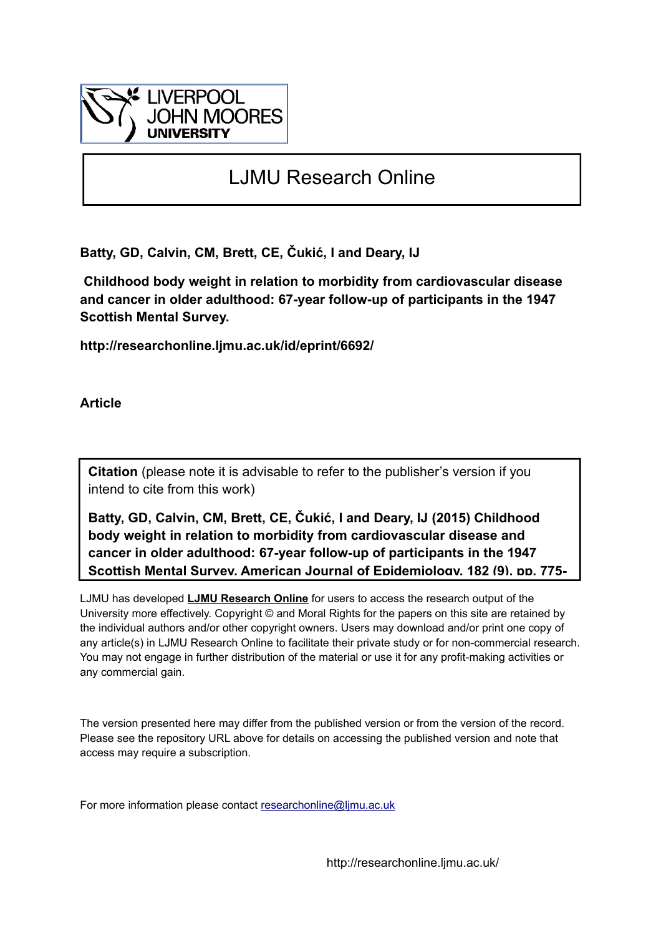

# LJMU Research Online

**Batty, GD, Calvin, CM, Brett, CE, Čukić, I and Deary, IJ**

 **Childhood body weight in relation to morbidity from cardiovascular disease and cancer in older adulthood: 67-year follow-up of participants in the 1947 Scottish Mental Survey.**

**http://researchonline.ljmu.ac.uk/id/eprint/6692/**

**Article**

**Citation** (please note it is advisable to refer to the publisher's version if you intend to cite from this work)

**Batty, GD, Calvin, CM, Brett, CE, Čukić, I and Deary, IJ (2015) Childhood body weight in relation to morbidity from cardiovascular disease and cancer in older adulthood: 67-year follow-up of participants in the 1947 Scottish Mental Survey. American Journal of Epidemiology, 182 (9). pp. 775-**

LJMU has developed **[LJMU Research Online](http://researchonline.ljmu.ac.uk/)** for users to access the research output of the University more effectively. Copyright © and Moral Rights for the papers on this site are retained by the individual authors and/or other copyright owners. Users may download and/or print one copy of any article(s) in LJMU Research Online to facilitate their private study or for non-commercial research. You may not engage in further distribution of the material or use it for any profit-making activities or any commercial gain.

The version presented here may differ from the published version or from the version of the record. Please see the repository URL above for details on accessing the published version and note that access may require a subscription.

For more information please contact researchonline@limu.ac.uk

http://researchonline.ljmu.ac.uk/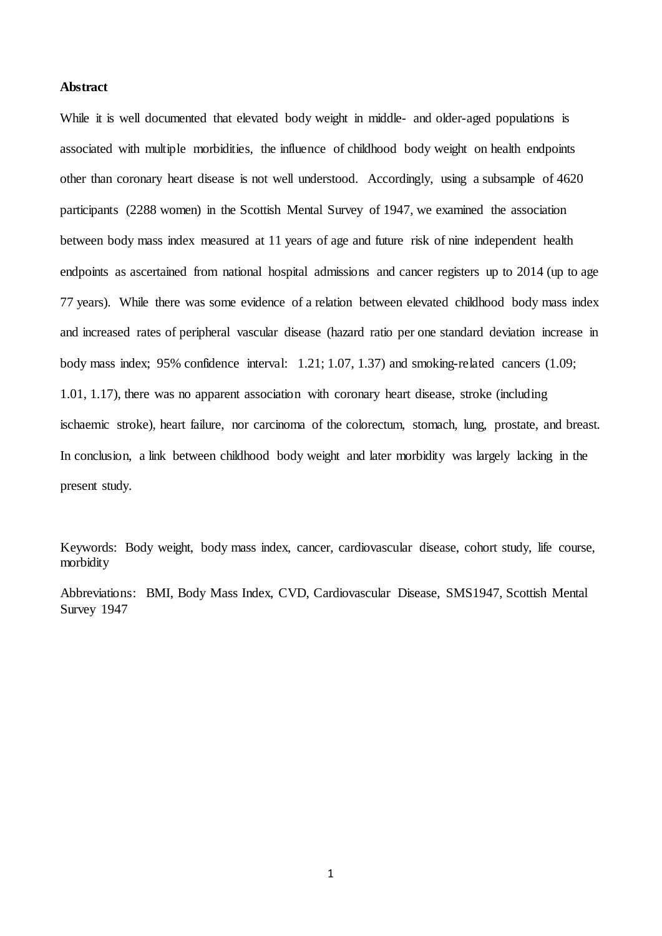#### **Abstract**

While it is well documented that elevated body weight in middle- and older-aged populations is associated with multiple morbidities, the influence of childhood body weight on health endpoints other than coronary heart disease is not well understood. Accordingly, using a subsample of 4620 participants (2288 women) in the Scottish Mental Survey of 1947, we examined the association between body mass index measured at 11 years of age and future risk of nine independent health endpoints as ascertained from national hospital admissions and cancer registers up to 2014 (up to age 77 years). While there was some evidence of a relation between elevated childhood body mass index and increased rates of peripheral vascular disease (hazard ratio per one standard deviation increase in body mass index; 95% confidence interval: 1.21; 1.07, 1.37) and smoking-related cancers (1.09; 1.01, 1.17), there was no apparent association with coronary heart disease, stroke (including ischaemic stroke), heart failure, nor carcinoma of the colorectum, stomach, lung, prostate, and breast. In conclusion, a link between childhood body weight and later morbidity was largely lacking in the present study.

Keywords: Body weight, body mass index, cancer, cardiovascular disease, cohort study, life course, morbidity

Abbreviations: BMI, Body Mass Index, CVD, Cardiovascular Disease, SMS1947, Scottish Mental Survey 1947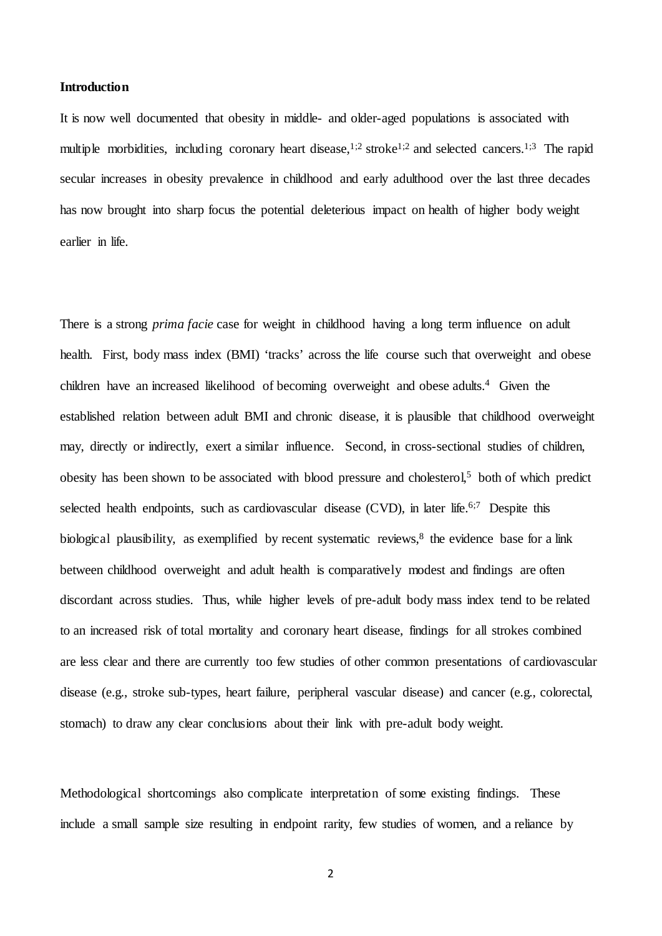#### **Introduction**

It is now well documented that obesity in middle- and older-aged populations is associated with multiple morbidities, including coronary heart disease,<sup>1,2</sup> stroke<sup>1,2</sup> and selected cancers.<sup>1,3</sup> The rapid secular increases in obesity prevalence in childhood and early adulthood over the last three decades has now brought into sharp focus the potential deleterious impact on health of higher body weight earlier in life.

There is a strong *prima facie* case for weight in childhood having a long term influence on adult health. First, body mass index (BMI) 'tracks' across the life course such that overweight and obese children have an increased likelihood of becoming overweight and obese adults.<sup>4</sup> Given the established relation between adult BMI and chronic disease, it is plausible that childhood overweight may, directly or indirectly, exert a similar influence. Second, in cross-sectional studies of children, obesity has been shown to be associated with blood pressure and cholesterol,<sup>5</sup> both of which predict selected health endpoints, such as cardiovascular disease (CVD), in later life.<sup>6;7</sup> Despite this biological plausibility, as exemplified by recent systematic reviews,  $\delta$  the evidence base for a link between childhood overweight and adult health is comparatively modest and findings are often discordant across studies. Thus, while higher levels of pre-adult body mass index tend to be related to an increased risk of total mortality and coronary heart disease, findings for all strokes combined are less clear and there are currently too few studies of other common presentations of cardiovascular disease (e.g., stroke sub-types, heart failure, peripheral vascular disease) and cancer (e.g., colorectal, stomach) to draw any clear conclusions about their link with pre-adult body weight.

Methodological shortcomings also complicate interpretation of some existing findings. These include a small sample size resulting in endpoint rarity, few studies of women, and a reliance by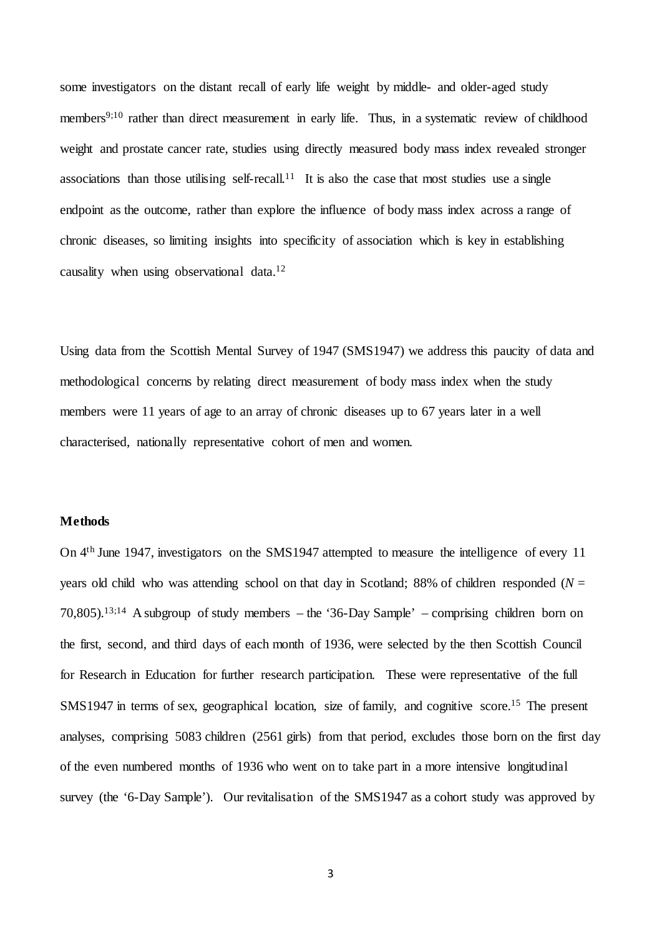some investigators on the distant recall of early life weight by middle- and older-aged study members<sup>9;10</sup> rather than direct measurement in early life. Thus, in a systematic review of childhood weight and prostate cancer rate, studies using directly measured body mass index revealed stronger associations than those utilising self-recall.<sup>11</sup> It is also the case that most studies use a single endpoint as the outcome, rather than explore the influence of body mass index across a range of chronic diseases, so limiting insights into specificity of association which is key in establishing causality when using observational data. 12

Using data from the Scottish Mental Survey of 1947 (SMS1947) we address this paucity of data and methodological concerns by relating direct measurement of body mass index when the study members were 11 years of age to an array of chronic diseases up to 67 years later in a well characterised, nationally representative cohort of men and women.

## **Methods**

On 4th June 1947, investigators on the SMS1947 attempted to measure the intelligence of every 11 years old child who was attending school on that day in Scotland; 88% of children responded ( $N =$ 70,805). 13;14 A subgroup of study members – the '36-Day Sample' – comprising children born on the first, second, and third days of each month of 1936, were selected by the then Scottish Council for Research in Education for further research participation. These were representative of the full SMS1947 in terms of sex, geographical location, size of family, and cognitive score.<sup>15</sup> The present analyses, comprising 5083 children (2561 girls) from that period, excludes those born on the first day of the even numbered months of 1936 who went on to take part in a more intensive longitudinal survey (the '6-Day Sample'). Our revitalisation of the SMS1947 as a cohort study was approved by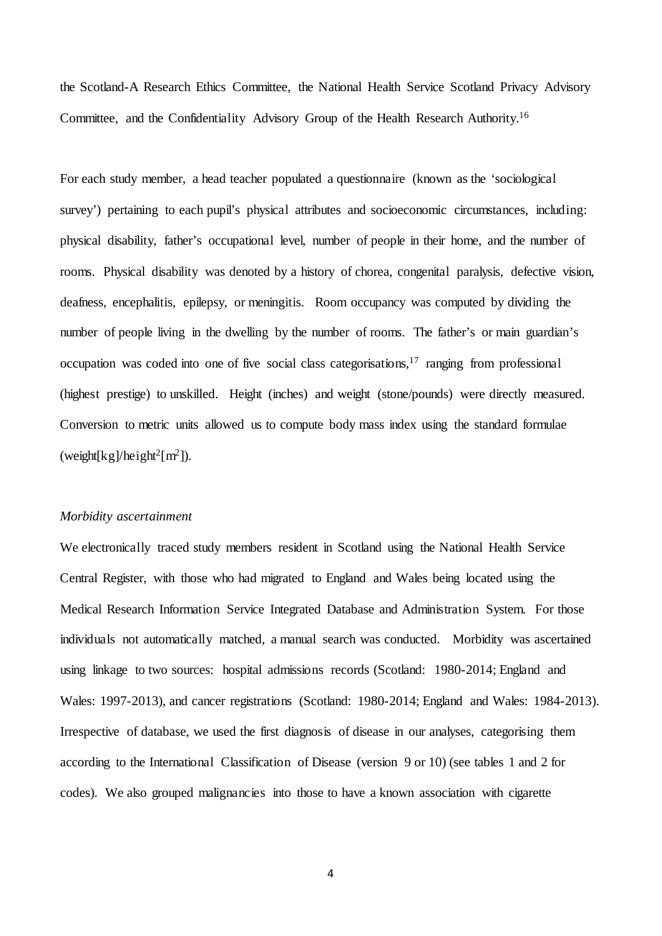the Scotland-A Research Ethics Committee, the National Health Service Scotland Privacy Advisory Committee, and the Confidentiality Advisory Group of the Health Research Authority.16

For each study member, a head teacher populated a questionnaire (known as the 'sociological survey') pertaining to each pupil's physical attributes and socioeconomic circumstances, including: physical disability, father's occupational level, number of people in their home, and the number of rooms. Physical disability was denoted by a history of chorea, congenital paralysis, defective vision, deafness, encephalitis, epilepsy, or meningitis. Room occupancy was computed by dividing the number of people living in the dwelling by the number of rooms. The father's or main guardian's occupation was coded into one of five social class categorisations,<sup>17</sup> ranging from professional (highest prestige) to unskilled. Height (inches) and weight (stone/pounds) were directly measured. Conversion to metric units allowed us to compute body mass index using the standard formulae (weight[kg]/height<sup>2</sup>[m<sup>2</sup>]).

#### *Morbidity ascertainment*

We electronically traced study members resident in Scotland using the National Health Service Central Register, with those who had migrated to England and Wales being located using the Medical Research Information Service Integrated Database and Administration System. For those individuals not automatically matched, a manual search was conducted. Morbidity was ascertained using linkage to two sources: hospital admissions records (Scotland: 1980-2014; England and Wales: 1997-2013), and cancer registrations (Scotland: 1980-2014; England and Wales: 1984-2013). Irrespective of database, we used the first diagnosis of disease in our analyses, categorising them according to the International Classification of Disease (version 9 or 10) (see tables 1 and 2 for codes). We also grouped malignancies into those to have a known association with cigarette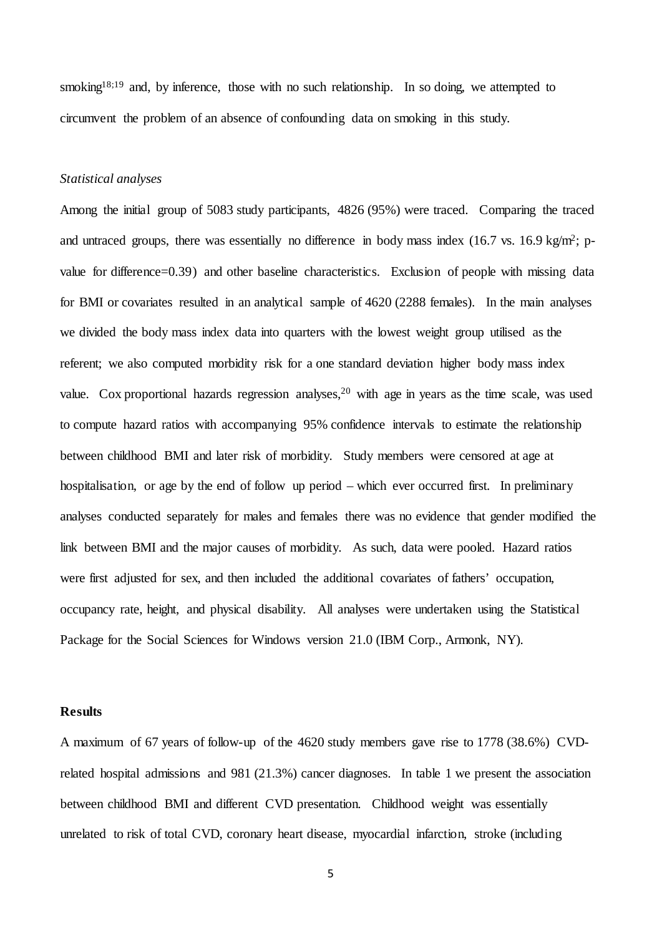smoking<sup>18;19</sup> and, by inference, those with no such relationship. In so doing, we attempted to circumvent the problem of an absence of confounding data on smoking in this study.

# *Statistical analyses*

Among the initial group of 5083 study participants, 4826 (95%) were traced. Comparing the traced and untraced groups, there was essentially no difference in body mass index (16.7 vs. 16.9 kg/m<sup>2</sup>; pvalue for difference=0.39) and other baseline characteristics. Exclusion of people with missing data for BMI or covariates resulted in an analytical sample of 4620 (2288 females). In the main analyses we divided the body mass index data into quarters with the lowest weight group utilised as the referent; we also computed morbidity risk for a one standard deviation higher body mass index value. Cox proportional hazards regression analyses,  $20$  with age in years as the time scale, was used to compute hazard ratios with accompanying 95% confidence intervals to estimate the relationship between childhood BMI and later risk of morbidity. Study members were censored at age at hospitalisation, or age by the end of follow up period – which ever occurred first. In preliminary analyses conducted separately for males and females there was no evidence that gender modified the link between BMI and the major causes of morbidity. As such, data were pooled. Hazard ratios were first adjusted for sex, and then included the additional covariates of fathers' occupation, occupancy rate, height, and physical disability. All analyses were undertaken using the Statistical Package for the Social Sciences for Windows version 21.0 (IBM Corp., Armonk, NY).

# **Results**

A maximum of 67 years of follow-up of the 4620 study members gave rise to 1778 (38.6%) CVDrelated hospital admissions and 981 (21.3%) cancer diagnoses. In table 1 we present the association between childhood BMI and different CVD presentation. Childhood weight was essentially unrelated to risk of total CVD, coronary heart disease, myocardial infarction, stroke (including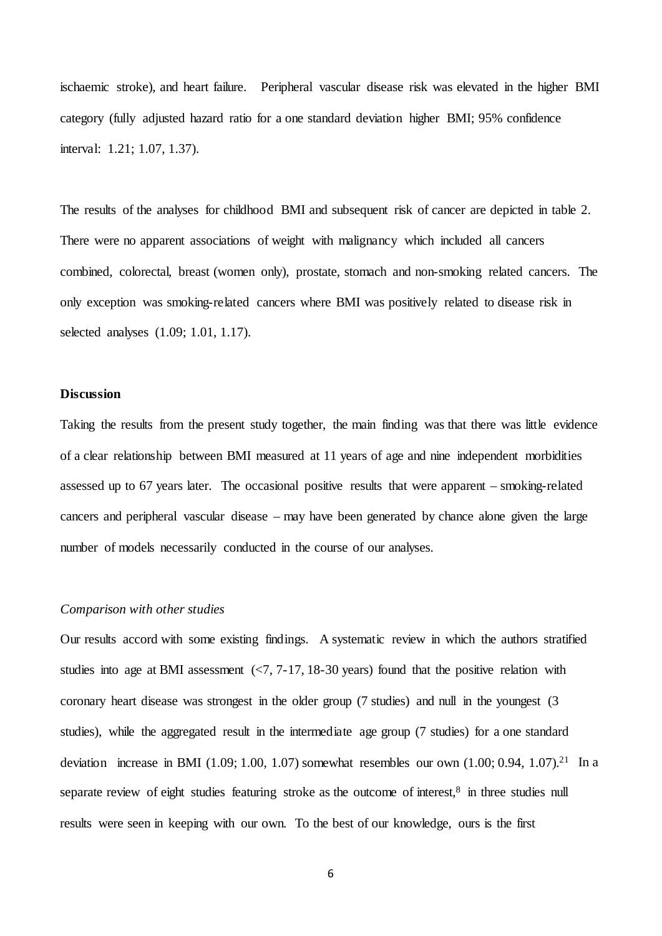ischaemic stroke), and heart failure. Peripheral vascular disease risk was elevated in the higher BMI category (fully adjusted hazard ratio for a one standard deviation higher BMI; 95% confidence interval: 1.21; 1.07, 1.37).

The results of the analyses for childhood BMI and subsequent risk of cancer are depicted in table 2. There were no apparent associations of weight with malignancy which included all cancers combined, colorectal, breast (women only), prostate, stomach and non-smoking related cancers. The only exception was smoking-related cancers where BMI was positively related to disease risk in selected analyses (1.09; 1.01, 1.17).

#### **Discussion**

Taking the results from the present study together, the main finding was that there was little evidence of a clear relationship between BMI measured at 11 years of age and nine independent morbidities assessed up to 67 years later. The occasional positive results that were apparent – smoking-related cancers and peripheral vascular disease – may have been generated by chance alone given the large number of models necessarily conducted in the course of our analyses.

# *Comparison with other studies*

Our results accord with some existing findings. A systematic review in which the authors stratified studies into age at BMI assessment  $\left($ <7, 7-17, 18-30 years) found that the positive relation with coronary heart disease was strongest in the older group (7 studies) and null in the youngest (3 studies), while the aggregated result in the intermediate age group (7 studies) for a one standard deviation increase in BMI (1.09; 1.00, 1.07) somewhat resembles our own  $(1.00; 0.94, 1.07)$ .<sup>21</sup> In a separate review of eight studies featuring stroke as the outcome of interest, $8$  in three studies null results were seen in keeping with our own. To the best of our knowledge, ours is the first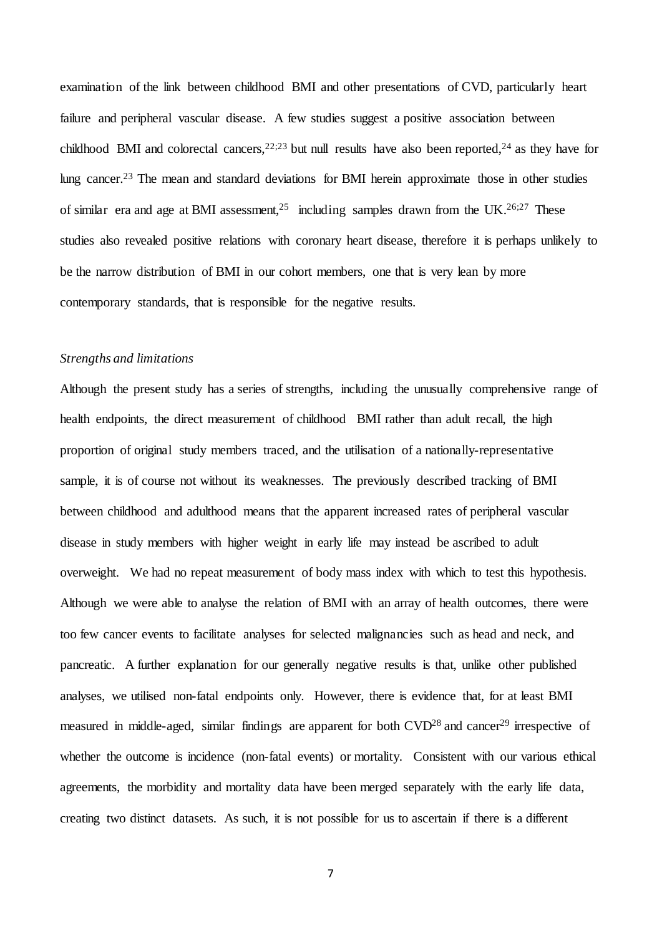examination of the link between childhood BMI and other presentations of CVD, particularly heart failure and peripheral vascular disease. A few studies suggest a positive association between childhood BMI and colorectal cancers,  $2^{2,23}$  but null results have also been reported,  $2^4$  as they have for lung cancer.<sup>23</sup> The mean and standard deviations for BMI herein approximate those in other studies of similar era and age at BMI assessment,<sup>25</sup> including samples drawn from the UK.<sup>26;27</sup> These studies also revealed positive relations with coronary heart disease, therefore it is perhaps unlikely to be the narrow distribution of BMI in our cohort members, one that is very lean by more contemporary standards, that is responsible for the negative results.

# *Strengths and limitations*

Although the present study has a series of strengths, including the unusually comprehensive range of health endpoints, the direct measurement of childhood BMI rather than adult recall, the high proportion of original study members traced, and the utilisation of a nationally-representative sample, it is of course not without its weaknesses. The previously described tracking of BMI between childhood and adulthood means that the apparent increased rates of peripheral vascular disease in study members with higher weight in early life may instead be ascribed to adult overweight. We had no repeat measurement of body mass index with which to test this hypothesis. Although we were able to analyse the relation of BMI with an array of health outcomes, there were too few cancer events to facilitate analyses for selected malignancies such as head and neck, and pancreatic. A further explanation for our generally negative results is that, unlike other published analyses, we utilised non-fatal endpoints only. However, there is evidence that, for at least BMI measured in middle-aged, similar findings are apparent for both CVD<sup>28</sup> and cancer<sup>29</sup> irrespective of whether the outcome is incidence (non-fatal events) or mortality. Consistent with our various ethical agreements, the morbidity and mortality data have been merged separately with the early life data, creating two distinct datasets. As such, it is not possible for us to ascertain if there is a different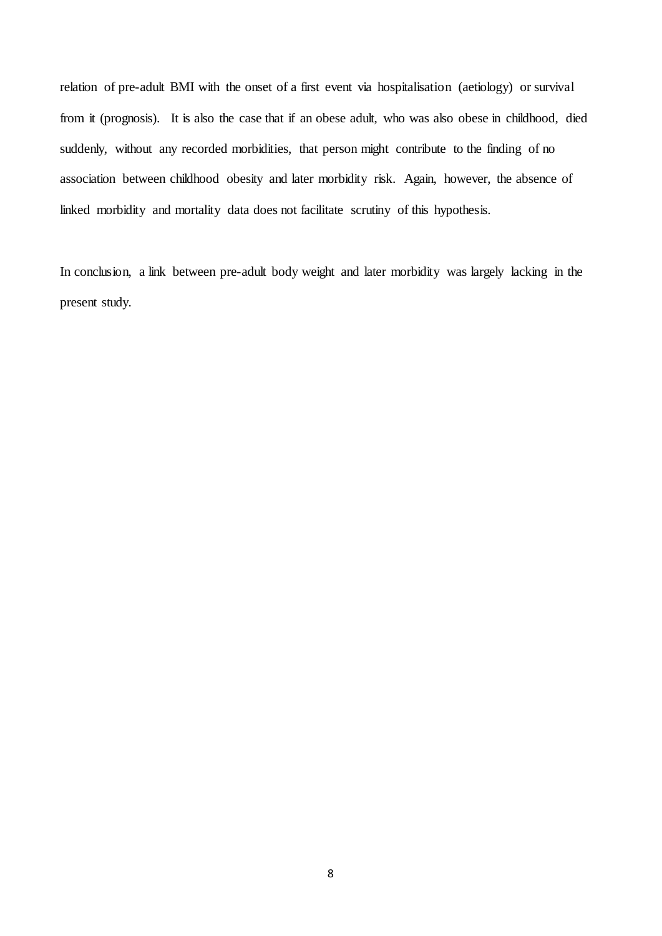relation of pre-adult BMI with the onset of a first event via hospitalisation (aetiology) or survival from it (prognosis). It is also the case that if an obese adult, who was also obese in childhood, died suddenly, without any recorded morbidities, that person might contribute to the finding of no association between childhood obesity and later morbidity risk. Again, however, the absence of linked morbidity and mortality data does not facilitate scrutiny of this hypothesis.

In conclusion, a link between pre-adult body weight and later morbidity was largely lacking in the present study.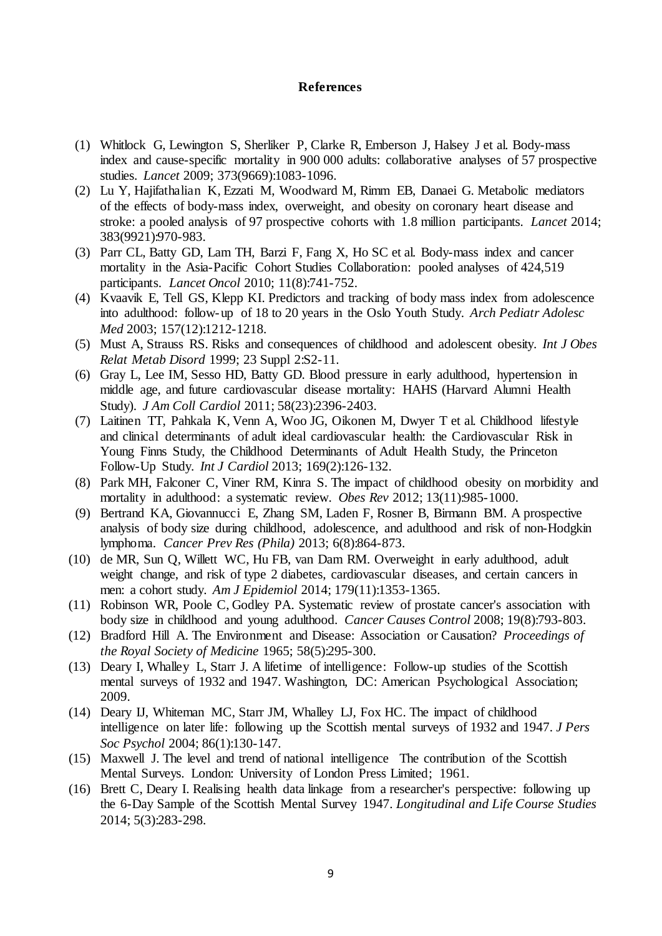#### **References**

- (1) Whitlock G, Lewington S, Sherliker P, Clarke R, Emberson J, Halsey J et al. Body-mass index and cause-specific mortality in 900 000 adults: collaborative analyses of 57 prospective studies. *Lancet* 2009; 373(9669):1083-1096.
- (2) Lu Y, Hajifathalian K, Ezzati M, Woodward M, Rimm EB, Danaei G. Metabolic mediators of the effects of body-mass index, overweight, and obesity on coronary heart disease and stroke: a pooled analysis of 97 prospective cohorts with 1.8 million participants. *Lancet* 2014; 383(9921):970-983.
- (3) Parr CL, Batty GD, Lam TH, Barzi F, Fang X, Ho SC et al. Body-mass index and cancer mortality in the Asia-Pacific Cohort Studies Collaboration: pooled analyses of 424,519 participants. *Lancet Oncol* 2010; 11(8):741-752.
- (4) Kvaavik E, Tell GS, Klepp KI. Predictors and tracking of body mass index from adolescence into adulthood: follow-up of 18 to 20 years in the Oslo Youth Study. *Arch Pediatr Adolesc Med* 2003; 157(12):1212-1218.
- (5) Must A, Strauss RS. Risks and consequences of childhood and adolescent obesity. *Int J Obes Relat Metab Disord* 1999; 23 Suppl 2:S2-11.
- (6) Gray L, Lee IM, Sesso HD, Batty GD. Blood pressure in early adulthood, hypertension in middle age, and future cardiovascular disease mortality: HAHS (Harvard Alumni Health Study). *J Am Coll Cardiol* 2011; 58(23):2396-2403.
- (7) Laitinen TT, Pahkala K, Venn A, Woo JG, Oikonen M, Dwyer T et al. Childhood lifestyle and clinical determinants of adult ideal cardiovascular health: the Cardiovascular Risk in Young Finns Study, the Childhood Determinants of Adult Health Study, the Princeton Follow-Up Study. *Int J Cardiol* 2013; 169(2):126-132.
- (8) Park MH, Falconer C, Viner RM, Kinra S. The impact of childhood obesity on morbidity and mortality in adulthood: a systematic review. *Obes Rev* 2012; 13(11):985-1000.
- (9) Bertrand KA, Giovannucci E, Zhang SM, Laden F, Rosner B, Birmann BM. A prospective analysis of body size during childhood, adolescence, and adulthood and risk of non-Hodgkin lymphoma. *Cancer Prev Res (Phila)* 2013; 6(8):864-873.
- (10) de MR, Sun Q, Willett WC, Hu FB, van Dam RM. Overweight in early adulthood, adult weight change, and risk of type 2 diabetes, cardiovascular diseases, and certain cancers in men: a cohort study. *Am J Epidemiol* 2014; 179(11):1353-1365.
- (11) Robinson WR, Poole C, Godley PA. Systematic review of prostate cancer's association with body size in childhood and young adulthood. *Cancer Causes Control* 2008; 19(8):793-803.
- (12) Bradford Hill A. The Environment and Disease: Association or Causation? *Proceedings of the Royal Society of Medicine* 1965; 58(5):295-300.
- (13) Deary I, Whalley L, Starr J. A lifetime of intelligence: Follow-up studies of the Scottish mental surveys of 1932 and 1947. Washington, DC: American Psychological Association; 2009.
- (14) Deary IJ, Whiteman MC, Starr JM, Whalley LJ, Fox HC. The impact of childhood intelligence on later life: following up the Scottish mental surveys of 1932 and 1947. *J Pers Soc Psychol* 2004; 86(1):130-147.
- (15) Maxwell J. The level and trend of national intelligence The contribution of the Scottish Mental Surveys. London: University of London Press Limited; 1961.
- (16) Brett C, Deary I. Realising health data linkage from a researcher's perspective: following up the 6-Day Sample of the Scottish Mental Survey 1947. *Longitudinal and Life Course Studies* 2014; 5(3):283-298.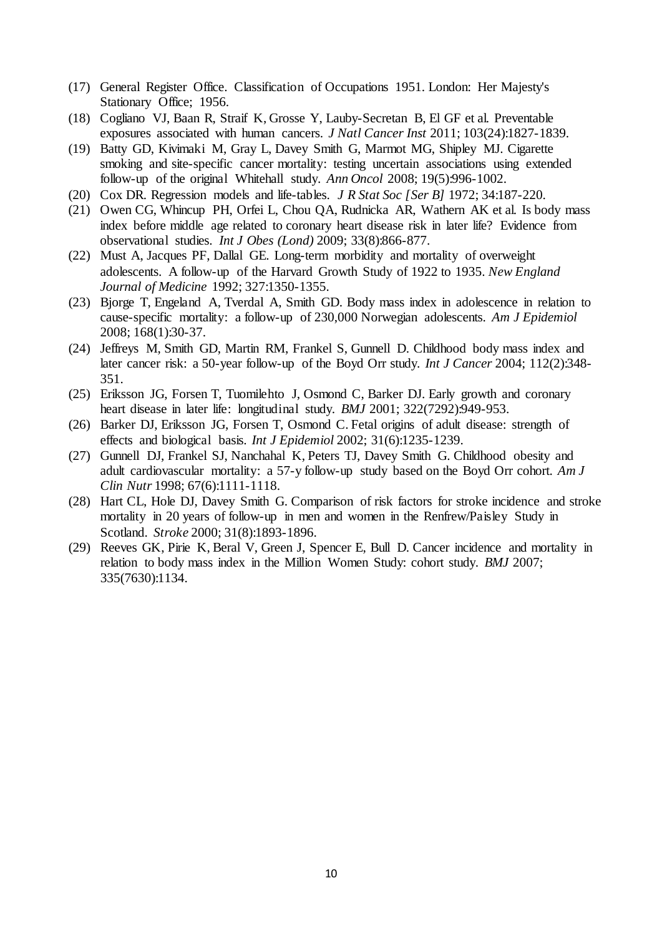- (17) General Register Office. Classification of Occupations 1951. London: Her Majesty's Stationary Office; 1956.
- (18) Cogliano VJ, Baan R, Straif K, Grosse Y, Lauby-Secretan B, El GF et al. Preventable exposures associated with human cancers. *J Natl Cancer Inst* 2011; 103(24):1827-1839.
- (19) Batty GD, Kivimaki M, Gray L, Davey Smith G, Marmot MG, Shipley MJ. Cigarette smoking and site-specific cancer mortality: testing uncertain associations using extended follow-up of the original Whitehall study. *Ann Oncol* 2008; 19(5):996-1002.
- (20) Cox DR. Regression models and life-tables. *J R Stat Soc [Ser B]* 1972; 34:187-220.
- (21) Owen CG, Whincup PH, Orfei L, Chou QA, Rudnicka AR, Wathern AK et al. Is body mass index before middle age related to coronary heart disease risk in later life? Evidence from observational studies. *Int J Obes (Lond)* 2009; 33(8):866-877.
- (22) Must A, Jacques PF, Dallal GE. Long-term morbidity and mortality of overweight adolescents. A follow-up of the Harvard Growth Study of 1922 to 1935. *New England Journal of Medicine* 1992; 327:1350-1355.
- (23) Bjorge T, Engeland A, Tverdal A, Smith GD. Body mass index in adolescence in relation to cause-specific mortality: a follow-up of 230,000 Norwegian adolescents. *Am J Epidemiol* 2008; 168(1):30-37.
- (24) Jeffreys M, Smith GD, Martin RM, Frankel S, Gunnell D. Childhood body mass index and later cancer risk: a 50-year follow-up of the Boyd Orr study. *Int J Cancer* 2004; 112(2):348- 351.
- (25) Eriksson JG, Forsen T, Tuomilehto J, Osmond C, Barker DJ. Early growth and coronary heart disease in later life: longitudinal study. *BMJ* 2001; 322(7292):949-953.
- (26) Barker DJ, Eriksson JG, Forsen T, Osmond C. Fetal origins of adult disease: strength of effects and biological basis. *Int J Epidemiol* 2002; 31(6):1235-1239.
- (27) Gunnell DJ, Frankel SJ, Nanchahal K, Peters TJ, Davey Smith G. Childhood obesity and adult cardiovascular mortality: a 57-y follow-up study based on the Boyd Orr cohort. *Am J Clin Nutr* 1998; 67(6):1111-1118.
- (28) Hart CL, Hole DJ, Davey Smith G. Comparison of risk factors for stroke incidence and stroke mortality in 20 years of follow-up in men and women in the Renfrew/Paisley Study in Scotland. *Stroke* 2000; 31(8):1893-1896.
- (29) Reeves GK, Pirie K, Beral V, Green J, Spencer E, Bull D. Cancer incidence and mortality in relation to body mass index in the Million Women Study: cohort study. *BMJ* 2007; 335(7630):1134.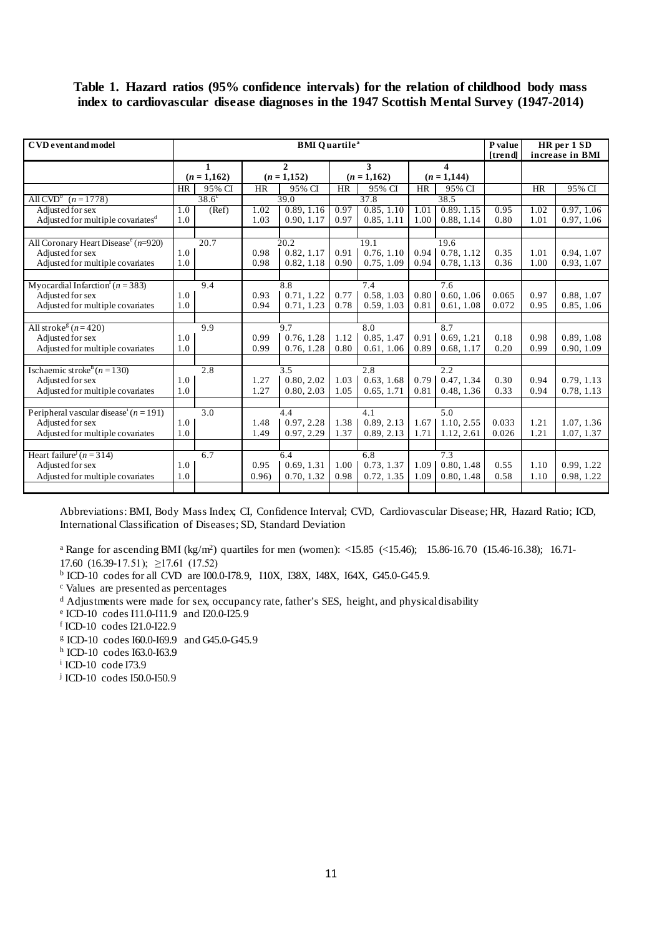# **Table 1. Hazard ratios (95% confidence intervals) for the relation of childhood body mass index to cardiovascular disease diagnoses in the 1947 Scottish Mental Survey (1947-2014)**

| <b>CVD</b> event and model                                           | <b>BMI</b> Quartile <sup>a</sup> |                   |                                  |                   |                    |                   |                     | P value<br>[trend] | HR per 1 SD<br>increase in BMI |           |            |
|----------------------------------------------------------------------|----------------------------------|-------------------|----------------------------------|-------------------|--------------------|-------------------|---------------------|--------------------|--------------------------------|-----------|------------|
|                                                                      | 1<br>$(n = 1,162)$               |                   | $\overline{2}$<br>$(n = 1, 152)$ |                   | 3<br>$(n = 1,162)$ |                   | 4<br>$(n = 1, 144)$ |                    |                                |           |            |
|                                                                      | <b>HR</b>                        | 95% CI            | <b>HR</b>                        | 95% CI            | <b>HR</b>          | 95% CI            | HR                  | 95% CI             |                                | <b>HR</b> | 95% CI     |
| All CVD <sup>b</sup> $(n = 1778)$                                    |                                  | $38.6^\circ$      |                                  | 39.0              |                    | 37.8              |                     | 38.5               |                                |           |            |
| Adjusted for sex                                                     | 1.0                              | (Ref)             | 1.02                             | 0.89, 1.16        | 0.97               | 0.85, 1.10        | 1.01                | 0.89.1.15          | 0.95                           | 1.02      | 0.97, 1.06 |
| Adjusted for multiple covariates <sup>d</sup>                        | 1.0                              |                   | 1.03                             | 0.90, 1.17        | 0.97               | 0.85, 1.11        | 1.00                | 0.88, 1.14         | 0.80                           | 1.01      | 0.97, 1.06 |
|                                                                      |                                  |                   |                                  |                   |                    |                   |                     |                    |                                |           |            |
| All Coronary Heart Disease <sup>e</sup> ( $n=920$ )                  |                                  | $\overline{20.7}$ |                                  | $\overline{20.2}$ |                    | 19.1              |                     | 19.6               |                                |           |            |
| Adjusted for sex                                                     | 1.0                              |                   | 0.98                             | 0.82, 1.17        | 0.91               | 0.76, 1.10        | 0.94                | 0.78, 1.12         | 0.35                           | 1.01      | 0.94, 1.07 |
| Adjusted for multiple covariates                                     | 1.0                              |                   | 0.98                             | 0.82, 1.18        | 0.90               | 0.75, 1.09        | 0.94                | 0.78, 1.13         | 0.36                           | 1.00      | 0.93, 1.07 |
|                                                                      |                                  |                   |                                  |                   |                    |                   |                     |                    |                                |           |            |
| Myocardial Infarction <sup>t</sup> ( $n = 383$ )                     |                                  | 9.4               |                                  | 8.8               |                    | 7.4               |                     | 7.6                |                                |           |            |
| Adjusted for sex                                                     | 1.0                              |                   | 0.93                             | 0.71, 1.22        | 0.77               | 0.58, 1.03        | 0.80                | 0.60.1.06          | 0.065                          | 0.97      | 0.88, 1.07 |
| Adjusted for multiple covariates                                     | 1.0                              |                   | 0.94                             | 0.71, 1.23        | 0.78               | 0.59, 1.03        | 0.81                | 0.61, 1.08         | 0.072                          | 0.95      | 0.85, 1.06 |
|                                                                      |                                  |                   |                                  |                   |                    |                   |                     |                    |                                |           |            |
| All stroke <sup><math>g</math></sup> ( $n=420$ )<br>Adjusted for sex | 1.0                              | 9.9               | 0.99                             | 9.7<br>0.76, 1.28 | 1.12               | 8.0<br>0.85, 1.47 | 0.91                | 8.7<br>0.69.1.21   | 0.18                           | 0.98      | 0.89, 1.08 |
|                                                                      | 1.0                              |                   | 0.99                             |                   | 0.80               |                   | 0.89                |                    | 0.20                           | 0.99      |            |
| Adjusted for multiple covariates                                     |                                  |                   |                                  | 0.76, 1.28        |                    | 0.61, 1.06        |                     | 0.68, 1.17         |                                |           | 0.90, 1.09 |
| Ischaemic stroke <sup>h</sup> ( $n = 130$ )                          |                                  | 2.8               |                                  | $\overline{3.5}$  |                    | 2.8               |                     | 2.2                |                                |           |            |
| Adjusted for sex                                                     | 1.0                              |                   | 1.27                             | 0.80, 2.02        | 1.03               | 0.63, 1.68        | 0.79                | 0.47, 1.34         | 0.30                           | 0.94      | 0.79, 1.13 |
| Adjusted for multiple covariates                                     | 1.0                              |                   | 1.27                             | 0.80, 2.03        | 1.05               | 0.65, 1.71        | 0.81                | 0.48, 1.36         | 0.33                           | 0.94      | 0.78, 1.13 |
|                                                                      |                                  |                   |                                  |                   |                    |                   |                     |                    |                                |           |            |
| Peripheral vascular disease <sup>1</sup> ( $n = 191$ )               |                                  | $\overline{3.0}$  |                                  | 4.4               |                    | 4.1               |                     | 5.0                |                                |           |            |
| Adjusted for sex                                                     | 1.0                              |                   | 1.48                             | 0.97, 2.28        | 1.38               | 0.89, 2.13        | 1.67                | 1.10, 2.55         | 0.033                          | 1.21      | 1.07, 1.36 |
| Adjusted for multiple covariates                                     | 1.0                              |                   | 1.49                             | 0.97, 2.29        | 1.37               | 0.89, 2.13        | 1.71                | 1.12, 2.61         | 0.026                          | 1.21      | 1.07, 1.37 |
|                                                                      |                                  |                   |                                  |                   |                    |                   |                     |                    |                                |           |            |
| Heart failure <sup><math>(n = 314)</math></sup>                      |                                  | 6.7               |                                  | 6.4               |                    | 6.8               |                     | 7.3                |                                |           |            |
| Adjusted for sex                                                     | 1.0                              |                   | 0.95                             | 0.69, 1.31        | 1.00               | 0.73, 1.37        | 1.09                | 0.80, 1.48         | 0.55                           | 1.10      | 0.99, 1.22 |
| Adjusted for multiple covariates                                     | 1.0                              |                   | 0.96                             | 0.70, 1.32        | 0.98               | 0.72, 1.35        | 1.09                | 0.80, 1.48         | 0.58                           | 1.10      | 0.98, 1.22 |
|                                                                      |                                  |                   |                                  |                   |                    |                   |                     |                    |                                |           |            |

Abbreviations: BMI, Body Mass Index; CI, Confidence Interval; CVD, Cardiovascular Disease; HR, Hazard Ratio; ICD, International Classification of Diseases; SD, Standard Deviation

<sup>a</sup> Range for ascending BMI (kg/m<sup>2</sup>) quartiles for men (women): <15.85 (<15.46); 15.86-16.70 (15.46-16.38); 16.71-

17.60 (16.39-17.51); ≥17.61 (17.52)

<sup>b</sup> ICD-10 codes for all CVD are I00.0-I78.9, I10X, I38X, I48X, I64X, G45.0-G45.9.

<sup>c</sup> Values are presented as percentages

- <sup>d</sup> Adjustments were made for sex, occupancy rate, father's SES, height, and physical disability
- <sup>e</sup> ICD-10 codes I11.0-I11.9 and I20.0-I25.9
- <sup>f</sup> ICD-10 codes I21.0-I22.9

<sup>g</sup> ICD-10 codes I60.0-I69.9 and G45.0-G45.9

- <sup>h</sup> ICD-10 codes I63.0-I63.9
- <sup>i</sup> ICD-10 code I73.9
- <sup>j</sup> ICD-10 codes I50.0-I50.9